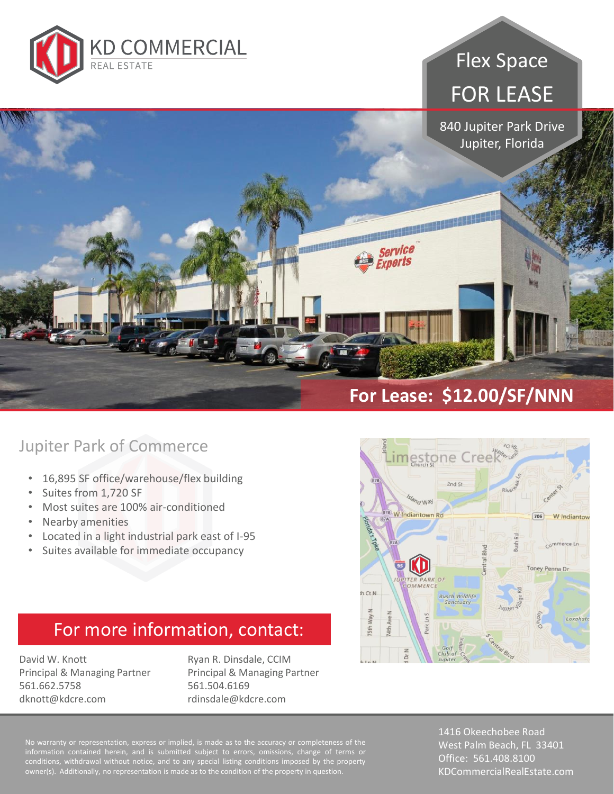

# Flex Space FOR LEASE

840 Jupiter Park Drive Jupiter, Florida

#### Jupiter Park of Commerce

- 16,895 SF office/warehouse/flex building
- Suites from 1,720 SF
- Most suites are 100% air-conditioned
- Nearby amenities
- Located in a light industrial park east of I-95
- Suites available for immediate occupancy

### For more information, contact:

David W. Knott Principal & Managing Partner 561.662.5758 dknott@kdcre.com

Ryan R. Dinsdale, CCIM Principal & Managing Partner 561.504.6169 rdinsdale@kdcre.com

information contained herein, and is submitted subject to errors, omissions, change of terms or conditions, withdrawal without notice, and to any special listing conditions imposed by the property owner(s). Additionally, no representation is made as to the condition of the property in question.

1416 Okeechobee Road West Palm Beach, FL 33401 Office: 561.408.8100 KDCommercialRealEstate.com



**For Lease: \$12.00/SF/NNN**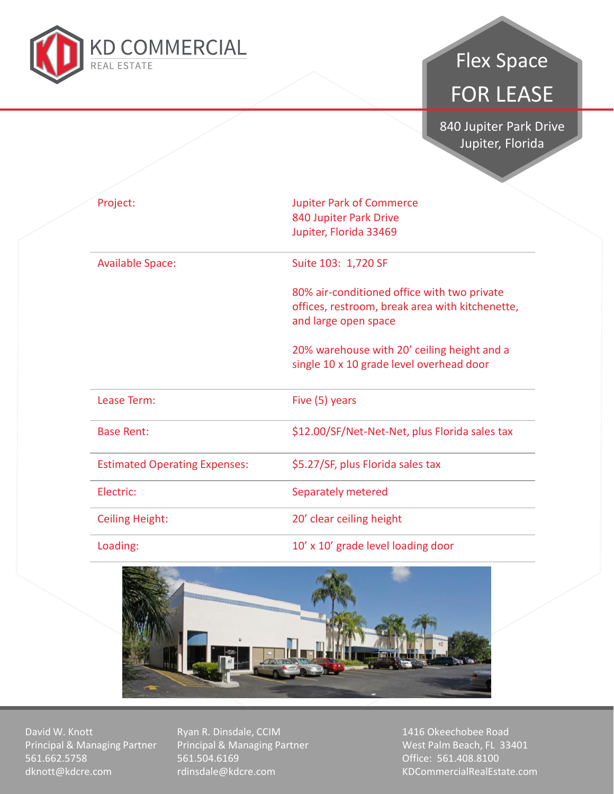

## Flex Space FOR LEASE

**840 Jupiter Park Drive<br>Supiter Florida** Jupiter, Florida

| Project:                             | <b>Jupiter Park of Commerce</b><br>840 Jupiter Park Drive                                                              |
|--------------------------------------|------------------------------------------------------------------------------------------------------------------------|
|                                      | Jupiter, Florida 33469                                                                                                 |
| <b>Available Space:</b>              | Suite 103: 1,720 SF                                                                                                    |
|                                      | 80% air-conditioned office with two private<br>offices, restroom, break area with kitchenette,<br>and large open space |
|                                      | 20% warehouse with 20' ceiling height and a<br>single 10 x 10 grade level overhead door                                |
| Lease Term:                          | Five (5) years                                                                                                         |
| <b>Base Rent:</b>                    | \$12.00/SF/Net-Net-Net, plus Florida sales tax                                                                         |
| <b>Estimated Operating Expenses:</b> | \$5.27/SF, plus Florida sales tax                                                                                      |
| Electric:                            | Separately metered                                                                                                     |
| <b>Ceiling Height:</b>               | 20' clear ceiling height                                                                                               |
| Loading:                             | 10' x 10' grade level loading door                                                                                     |



David W. Knott Principal & Managing Partner 561.662.5758 dknott@kdcre.com

Ryan R. Dinsdale, CCIM Principal & Managing Partner 561.504.6169 rdinsdale@kdcre.com

1416 Okeechobee Road West Palm Beach, FL 33401 Office: 561.408.8100 KDCommercialRealEstate.com